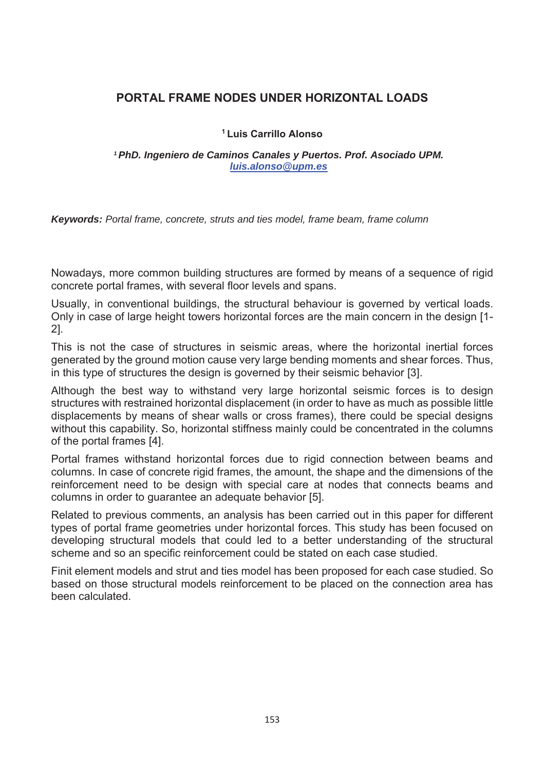## **PORTAL FRAME NODES UNDER HORIZONTAL LOADS**

## **1 Luis Carrillo Alonso**

*1 PhD. Ingeniero de Caminos Canales y Puertos. Prof. Asociado UPM. luis.alonso@upm.es*

*Keywords: Portal frame, concrete, struts and ties model, frame beam, frame column* 

Nowadays, more common building structures are formed by means of a sequence of rigid concrete portal frames, with several floor levels and spans.

Usually, in conventional buildings, the structural behaviour is governed by vertical loads. Only in case of large height towers horizontal forces are the main concern in the design [1- 2].

This is not the case of structures in seismic areas, where the horizontal inertial forces generated by the ground motion cause very large bending moments and shear forces. Thus, in this type of structures the design is governed by their seismic behavior [3].

Although the best way to withstand very large horizontal seismic forces is to design structures with restrained horizontal displacement (in order to have as much as possible little displacements by means of shear walls or cross frames), there could be special designs without this capability. So, horizontal stiffness mainly could be concentrated in the columns of the portal frames [4].

Portal frames withstand horizontal forces due to rigid connection between beams and columns. In case of concrete rigid frames, the amount, the shape and the dimensions of the reinforcement need to be design with special care at nodes that connects beams and columns in order to guarantee an adequate behavior [5].

Related to previous comments, an analysis has been carried out in this paper for different types of portal frame geometries under horizontal forces. This study has been focused on developing structural models that could led to a better understanding of the structural scheme and so an specific reinforcement could be stated on each case studied.

Finit element models and strut and ties model has been proposed for each case studied. So based on those structural models reinforcement to be placed on the connection area has been calculated.